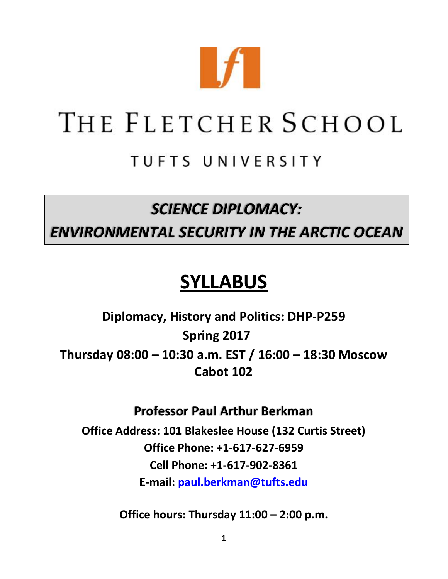

# THE FLETCHER SCHOOL

# TUFTS UNIVERSITY

## *SCIENCE DIPLOMACY:*

### *ENVIRONMENTAL SECURITY IN THE ARCTIC OCEAN*

# **SYLLABUS**

**Diplomacy, History and Politics: DHP-P259 Spring 2017 Thursday 08:00 – 10:30 a.m. EST / 16:00 – 18:30 Moscow Cabot 102**

### **Professor Paul Arthur Berkman**

**Office Address: 101 Blakeslee House (132 Curtis Street) Office Phone: +1-617-627-6959 Cell Phone: +1-617-902-8361 E-mail: [paul.berkman@tufts.edu](mailto:paul.berkman@tufts.edu)**

**Office hours: Thursday 11:00 – 2:00 p.m.**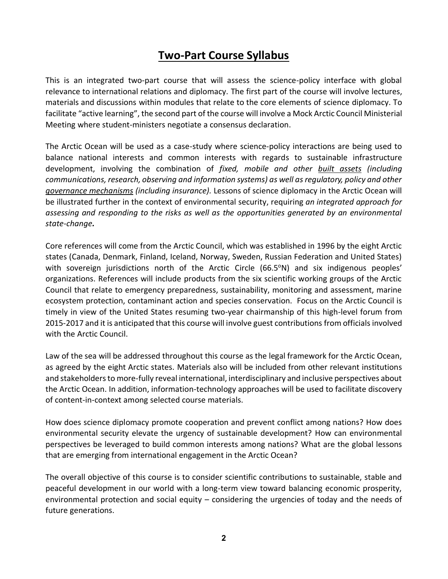### **Two-Part Course Syllabus**

This is an integrated two-part course that will assess the science-policy interface with global relevance to international relations and diplomacy. The first part of the course will involve lectures, materials and discussions within modules that relate to the core elements of science diplomacy. To facilitate "active learning", the second part of the course will involve a Mock Arctic Council Ministerial Meeting where student-ministers negotiate a consensus declaration.

The Arctic Ocean will be used as a case-study where science-policy interactions are being used to balance national interests and common interests with regards to sustainable infrastructure development, involving the combination of *fixed, mobile and other built assets (including communications, research, observing and information systems) as well as regulatory, policy and other governance mechanisms (including insurance).* Lessons of science diplomacy in the Arctic Ocean will be illustrated further in the context of environmental security, requiring *an integrated approach for assessing and responding to the risks as well as the opportunities generated by an environmental state-change.* 

Core references will come from the Arctic Council, which was established in 1996 by the eight Arctic states (Canada, Denmark, Finland, Iceland, Norway, Sweden, Russian Federation and United States) with sovereign jurisdictions north of the Arctic Circle (66.5°N) and six indigenous peoples' organizations. References will include products from the six scientific working groups of the Arctic Council that relate to emergency preparedness, sustainability, monitoring and assessment, marine ecosystem protection, contaminant action and species conservation. Focus on the Arctic Council is timely in view of the United States resuming two-year chairmanship of this high-level forum from 2015-2017 and it is anticipated that this course will involve guest contributions from officials involved with the Arctic Council.

Law of the sea will be addressed throughout this course as the legal framework for the Arctic Ocean, as agreed by the eight Arctic states. Materials also will be included from other relevant institutions and stakeholders to more-fully reveal international, interdisciplinary and inclusive perspectives about the Arctic Ocean. In addition, information-technology approaches will be used to facilitate discovery of content-in-context among selected course materials.

How does science diplomacy promote cooperation and prevent conflict among nations? How does environmental security elevate the urgency of sustainable development? How can environmental perspectives be leveraged to build common interests among nations? What are the global lessons that are emerging from international engagement in the Arctic Ocean?

The overall objective of this course is to consider scientific contributions to sustainable, stable and peaceful development in our world with a long-term view toward balancing economic prosperity, environmental protection and social equity – considering the urgencies of today and the needs of future generations.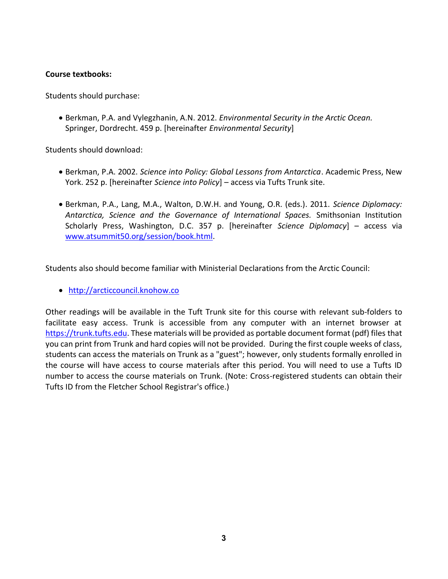#### **Course textbooks:**

Students should purchase:

 Berkman, P.A. and Vylegzhanin, A.N. 2012. *Environmental Security in the Arctic Ocean.* Springer, Dordrecht. 459 p. [hereinafter *Environmental Security*]

Students should download:

- Berkman, P.A. 2002. *Science into Policy: Global Lessons from Antarctica*. Academic Press, New York. 252 p. [hereinafter *Science into Policy*] – access via Tufts Trunk site.
- Berkman, P.A., Lang, M.A., Walton, D.W.H. and Young, O.R. (eds.). 2011. *Science Diplomacy: Antarctica, Science and the Governance of International Spaces.* Smithsonian Institution Scholarly Press, Washington, D.C. 357 p. [hereinafter *Science Diplomacy*] – access via [www.atsummit50.org/session/book.html.](http://www.atsummit50.org/session/book.html)

Students also should become familiar with Ministerial Declarations from the Arctic Council:

[http://arcticcouncil.knohow.co](http://arcticcouncil.knohow.co/)

Other readings will be available in the Tuft Trunk site for this course with relevant sub-folders to facilitate easy access. Trunk is accessible from any computer with an internet browser at [https://trunk.tufts.edu.](https://trunk.tufts.edu/) These materials will be provided as portable document format (pdf) files that you can print from Trunk and hard copies will not be provided. During the first couple weeks of class, students can access the materials on Trunk as a "guest"; however, only students formally enrolled in the course will have access to course materials after this period. You will need to use a Tufts ID number to access the course materials on Trunk. (Note: Cross-registered students can obtain their Tufts ID from the Fletcher School Registrar's office.)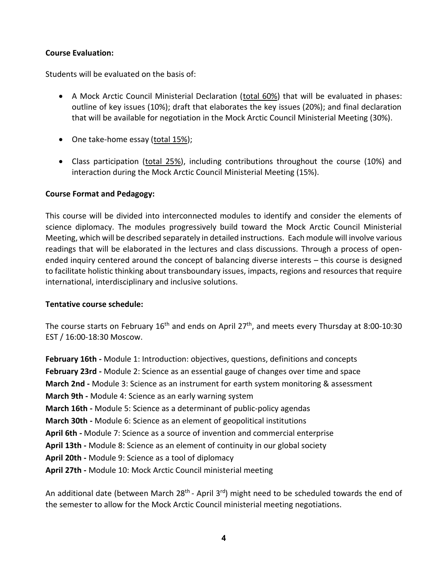#### **Course Evaluation:**

Students will be evaluated on the basis of:

- A Mock Arctic Council Ministerial Declaration (total 60%) that will be evaluated in phases: outline of key issues (10%); draft that elaborates the key issues (20%); and final declaration that will be available for negotiation in the Mock Arctic Council Ministerial Meeting (30%).
- One take-home essay (total 15%);
- Class participation (total 25%), including contributions throughout the course (10%) and interaction during the Mock Arctic Council Ministerial Meeting (15%).

#### **Course Format and Pedagogy:**

This course will be divided into interconnected modules to identify and consider the elements of science diplomacy. The modules progressively build toward the Mock Arctic Council Ministerial Meeting, which will be described separately in detailed instructions. Each module will involve various readings that will be elaborated in the lectures and class discussions. Through a process of openended inquiry centered around the concept of balancing diverse interests – this course is designed to facilitate holistic thinking about transboundary issues, impacts, regions and resources that require international, interdisciplinary and inclusive solutions.

#### **Tentative course schedule:**

The course starts on February 16<sup>th</sup> and ends on April 27<sup>th</sup>, and meets every Thursday at 8:00-10:30 EST / 16:00-18:30 Moscow.

**February 16th -** Module 1: Introduction: objectives, questions, definitions and concepts **February 23rd -** Module 2: Science as an essential gauge of changes over time and space **March 2nd -** Module 3: Science as an instrument for earth system monitoring & assessment **March 9th -** Module 4: Science as an early warning system **March 16th -** Module 5: Science as a determinant of public-policy agendas **March 30th -** Module 6: Science as an element of geopolitical institutions **April 6th -** Module 7: Science as a source of invention and commercial enterprise **April 13th -** Module 8: Science as an element of continuity in our global society **April 20th -** Module 9: Science as a tool of diplomacy **April 27th -** Module 10: Mock Arctic Council ministerial meeting

An additional date (between March 28<sup>th</sup> - April 3<sup>rd</sup>) might need to be scheduled towards the end of the semester to allow for the Mock Arctic Council ministerial meeting negotiations.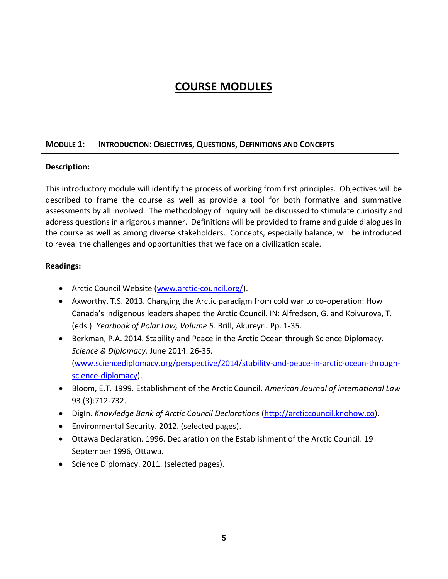### **COURSE MODULES**

#### **MODULE 1: INTRODUCTION: OBJECTIVES, QUESTIONS, DEFINITIONS AND CONCEPTS**

#### **Description:**

This introductory module will identify the process of working from first principles. Objectives will be described to frame the course as well as provide a tool for both formative and summative assessments by all involved. The methodology of inquiry will be discussed to stimulate curiosity and address questions in a rigorous manner. Definitions will be provided to frame and guide dialogues in the course as well as among diverse stakeholders. Concepts, especially balance, will be introduced to reveal the challenges and opportunities that we face on a civilization scale.

- Arctic Council Website [\(www.arctic-council.org/\)](http://www.arctic-council.org/).
- Axworthy, T.S. 2013. Changing the Arctic paradigm from cold war to co-operation: How Canada's indigenous leaders shaped the Arctic Council. IN: Alfredson, G. and Koivurova, T. (eds.). *Yearbook of Polar Law, Volume 5.* Brill, Akureyri. Pp. 1-35.
- Berkman, P.A. 2014. Stability and Peace in the Arctic Ocean through Science Diplomacy. *Science & Diplomacy.* June 2014: 26-35. [\(www.sciencediplomacy.org/perspective/2014/stability-and-peace-in-arctic-ocean-through](http://www.sciencediplomacy.org/perspective/2014/stability-and-peace-in-arctic-ocean-through-science-diplomacy)[science-diplomacy\)](http://www.sciencediplomacy.org/perspective/2014/stability-and-peace-in-arctic-ocean-through-science-diplomacy).
- Bloom, E.T. 1999. Establishment of the Arctic Council. *American Journal of international Law*  93 (3):712-732.
- DigIn. *Knowledge Bank of Arctic Council Declarations* [\(http://arcticcouncil.knohow.co\)](http://arcticcouncil.knohow.co/).
- Environmental Security. 2012. (selected pages).
- Ottawa Declaration. 1996. Declaration on the Establishment of the Arctic Council. 19 September 1996, Ottawa.
- Science Diplomacy. 2011. (selected pages).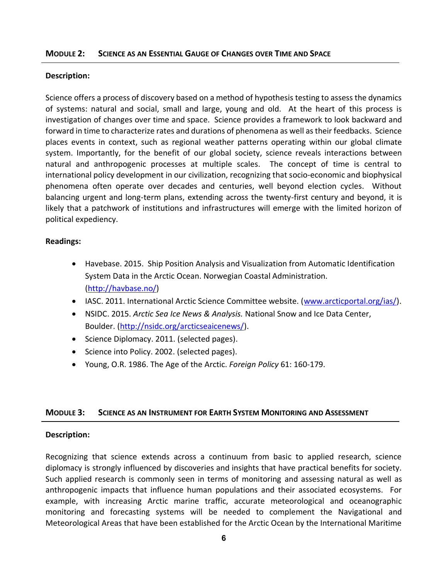#### **MODULE 2: SCIENCE AS AN ESSENTIAL GAUGE OF CHANGES OVER TIME AND SPACE**

#### **Description:**

Science offers a process of discovery based on a method of hypothesis testing to assess the dynamics of systems: natural and social, small and large, young and old. At the heart of this process is investigation of changes over time and space. Science provides a framework to look backward and forward in time to characterize rates and durations of phenomena as well as their feedbacks. Science places events in context, such as regional weather patterns operating within our global climate system. Importantly, for the benefit of our global society, science reveals interactions between natural and anthropogenic processes at multiple scales. The concept of time is central to international policy development in our civilization, recognizing that socio-economic and biophysical phenomena often operate over decades and centuries, well beyond election cycles. Without balancing urgent and long-term plans, extending across the twenty-first century and beyond, it is likely that a patchwork of institutions and infrastructures will emerge with the limited horizon of political expediency.

#### **Readings:**

- Havebase. 2015. Ship Position Analysis and Visualization from Automatic Identification System Data in the Arctic Ocean. Norwegian Coastal Administration. [\(http://havbase.no/\)](http://havbase.no/)
- IASC. 2011. International Arctic Science Committee website. [\(www.arcticportal.org/ias/\)](http://www.arcticportal.org/ias/).
- NSIDC. 2015. *Arctic Sea Ice News & Analysis.* National Snow and Ice Data Center, Boulder. [\(http://nsidc.org/arcticseaicenews/\)](http://nsidc.org/arcticseaicenews/).
- Science Diplomacy. 2011. (selected pages).
- Science into Policy. 2002. (selected pages).
- Young, O.R. 1986. The Age of the Arctic. *Foreign Policy* 61: 160-179.

#### **MODULE 3: SCIENCE AS AN INSTRUMENT FOR EARTH SYSTEM MONITORING AND ASSESSMENT**

#### **Description:**

Recognizing that science extends across a continuum from basic to applied research, science diplomacy is strongly influenced by discoveries and insights that have practical benefits for society. Such applied research is commonly seen in terms of monitoring and assessing natural as well as anthropogenic impacts that influence human populations and their associated ecosystems. For example, with increasing Arctic marine traffic, accurate meteorological and oceanographic monitoring and forecasting systems will be needed to complement the Navigational and Meteorological Areas that have been established for the Arctic Ocean by the International Maritime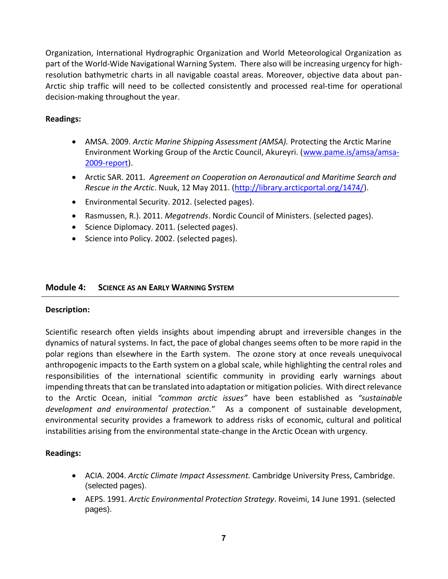Organization, International Hydrographic Organization and World Meteorological Organization as part of the World-Wide Navigational Warning System. There also will be increasing urgency for highresolution bathymetric charts in all navigable coastal areas. Moreover, objective data about pan-Arctic ship traffic will need to be collected consistently and processed real-time for operational decision-making throughout the year.

#### **Readings:**

- AMSA. 2009. *Arctic Marine Shipping Assessment (AMSA).* Protecting the Arctic Marine Environment Working Group of the Arctic Council, Akureyri. [\(www.pame.is/amsa/amsa-](http://www.pame.is/amsa/amsa-2009-report)[2009-report\)](http://www.pame.is/amsa/amsa-2009-report).
- Arctic SAR. 2011. *Agreement on Cooperation on Aeronautical and Maritime Search and Rescue in the Arctic*. Nuuk, 12 May 2011. [\(http://library.arcticportal.org/1474/\)](http://library.arcticportal.org/1474/).
- Environmental Security. 2012. (selected pages).
- Rasmussen, R.). 2011. *Megatrends*. Nordic Council of Ministers. (selected pages).
- Science Diplomacy. 2011. (selected pages).
- Science into Policy. 2002. (selected pages).

#### **Module 4: SCIENCE AS AN EARLY WARNING SYSTEM**

#### **Description:**

Scientific research often yields insights about impending abrupt and irreversible changes in the dynamics of natural systems. In fact, the pace of global changes seems often to be more rapid in the polar regions than elsewhere in the Earth system. The ozone story at once reveals unequivocal anthropogenic impacts to the Earth system on a global scale, while highlighting the central roles and responsibilities of the international scientific community in providing early warnings about impending threats that can be translated into adaptation or mitigation policies. With direct relevance to the Arctic Ocean, initial *"common arctic issues"* have been established as *"sustainable development and environmental protection.*" As a component of sustainable development, environmental security provides a framework to address risks of economic, cultural and political instabilities arising from the environmental state-change in the Arctic Ocean with urgency.

- ACIA. 2004. *Arctic Climate Impact Assessment.* Cambridge University Press, Cambridge. (selected pages).
- AEPS. 1991. *Arctic Environmental Protection Strategy*. Roveimi, 14 June 1991. (selected pages).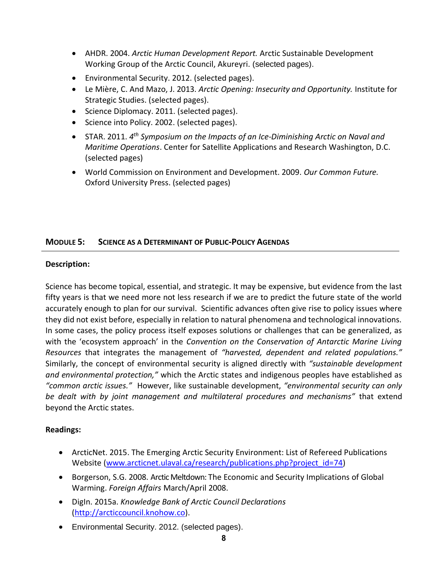- AHDR. 2004. *Arctic Human Development Report.* Arctic Sustainable Development Working Group of the Arctic Council, Akureyri. (selected pages).
- Environmental Security. 2012. (selected pages).
- Le Mière, C. And Mazo, J. 2013. *Arctic Opening: Insecurity and Opportunity.* Institute for Strategic Studies. (selected pages).
- Science Diplomacy. 2011. (selected pages).
- Science into Policy. 2002. (selected pages).
- STAR. 2011. *4 th Symposium on the Impacts of an Ice-Diminishing Arctic on Naval and Maritime Operations*. Center for Satellite Applications and Research Washington, D.C. (selected pages)
- World Commission on Environment and Development. 2009. *Our Common Future.* Oxford University Press. (selected pages)

#### **MODULE 5: SCIENCE AS A DETERMINANT OF PUBLIC-POLICY AGENDAS**

#### **Description:**

Science has become topical, essential, and strategic. It may be expensive, but evidence from the last fifty years is that we need more not less research if we are to predict the future state of the world accurately enough to plan for our survival. Scientific advances often give rise to policy issues where they did not exist before, especially in relation to natural phenomena and technological innovations. In some cases, the policy process itself exposes solutions or challenges that can be generalized, as with the 'ecosystem approach' in the *Convention on the Conservation of Antarctic Marine Living Resources* that integrates the management of *"harvested, dependent and related populations."*  Similarly, the concept of environmental security is aligned directly with *"sustainable development and environmental protection,"* which the Arctic states and indigenous peoples have established as *"common arctic issues."* However, like sustainable development, *"environmental security can only be dealt with by joint management and multilateral procedures and mechanisms"* that extend beyond the Arctic states.

- ArcticNet. 2015. The Emerging Arctic Security Environment: List of Refereed Publications Website [\(www.arcticnet.ulaval.ca/research/publications.php?project\\_id=74\)](http://www.arcticnet.ulaval.ca/research/publications.php?project_id=74)
- **•** Borgerson, S.G. 2008. Arctic Meltdown: The Economic and Security Implications of Global Warming. *Foreign Affairs* March/April 2008.
- DigIn. 2015a. *Knowledge Bank of Arctic Council Declarations* [\(http://arcticcouncil.knohow.co\)](http://arcticcouncil.knohow.co/).
- Environmental Security. 2012. (selected pages).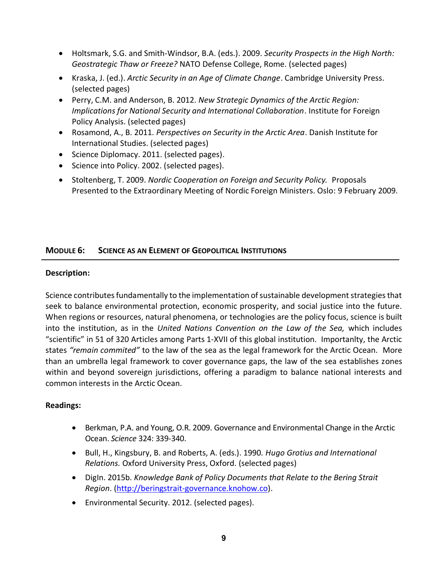- Holtsmark, S.G. and Smith-Windsor, B.A. (eds.). 2009. *Security Prospects in the High North: Geostrategic Thaw or Freeze?* NATO Defense College, Rome. (selected pages)
- Kraska, J. (ed.). *Arctic Security in an Age of Climate Change*. Cambridge University Press. (selected pages)
- Perry, C.M. and Anderson, B. 2012. *New Strategic Dynamics of the Arctic Region: Implications for National Security and International Collaboration*. Institute for Foreign Policy Analysis. (selected pages)
- Rosamond, A., B. 2011. *Perspectives on Security in the Arctic Area*. Danish Institute for International Studies. (selected pages)
- Science Diplomacy. 2011. (selected pages).
- Science into Policy. 2002. (selected pages).
- Stoltenberg, T. 2009. *Nordic Cooperation on Foreign and Security Policy.* Proposals Presented to the Extraordinary Meeting of Nordic Foreign Ministers. Oslo: 9 February 2009.

#### **MODULE 6: SCIENCE AS AN ELEMENT OF GEOPOLITICAL INSTITUTIONS**

#### **Description:**

Science contributes fundamentally to the implementation of sustainable development strategies that seek to balance environmental protection, economic prosperity, and social justice into the future. When regions or resources, natural phenomena, or technologies are the policy focus, science is built into the institution, as in the *United Nations Convention on the Law of the Sea,* which includes "scientific" in 51 of 320 Articles among Parts 1-XVII of this global institution. Importanlty, the Arctic states *"remain commited"* to the law of the sea as the legal framework for the Arctic Ocean. More than an umbrella legal framework to cover governance gaps, the law of the sea establishes zones within and beyond sovereign jurisdictions, offering a paradigm to balance national interests and common interests in the Arctic Ocean.

- Berkman, P.A. and Young, O.R. 2009. Governance and Environmental Change in the Arctic Ocean. *Science* 324: 339-340.
- Bull, H., Kingsbury, B. and Roberts, A. (eds.). 1990*. Hugo Grotius and International Relations.* Oxford University Press, Oxford. (selected pages)
- DigIn. 2015b. *Knowledge Bank of Policy Documents that Relate to the Bering Strait Region*. [\(http://beringstrait-governance.knohow.co\)](http://beringstrait-governance.knohow.co/).
- Environmental Security. 2012. (selected pages).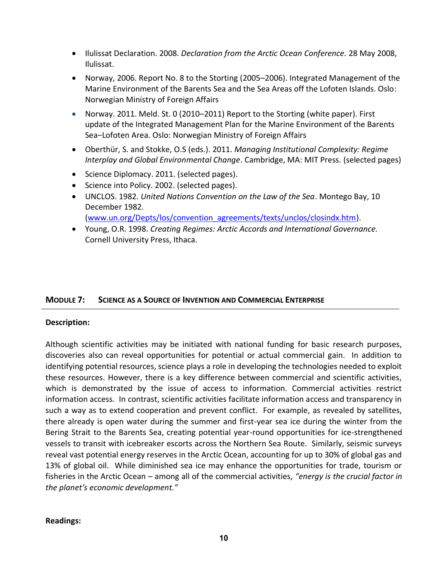- Ilulissat Declaration. 2008. *Declaration from the Arctic Ocean Conference.* 28 May 2008, Ilulissat.
- Norway, 2006. Report No. 8 to the Storting (2005–2006). Integrated Management of the Marine Environment of the Barents Sea and the Sea Areas off the Lofoten Islands. Oslo: Norwegian Ministry of Foreign Affairs
- Norway. 2011. Meld. St. 0 (2010–2011) Report to the Storting (white paper). First update of the Integrated Management Plan for the Marine Environment of the Barents Sea−Lofoten Area. Oslo: Norwegian Ministry of Foreign Affairs
- Oberthür, S. and Stokke, O.S (eds.). 2011. *Managing Institutional Complexity: Regime Interplay and Global Environmental Change*. Cambridge, MA: MIT Press. (selected pages)
- Science Diplomacy. 2011. (selected pages).
- Science into Policy. 2002. (selected pages).
- UNCLOS. 1982. *United Nations Convention on the Law of the Sea*. Montego Bay, 10 December 1982.

[\(www.un.org/Depts/los/convention\\_agreements/texts/unclos/closindx.htm\)](http://www.un.org/Depts/los/convention_agreements/texts/unclos/closindx.htm).

 Young, O.R. 1998. *Creating Regimes: Arctic Accords and International Governance.* Cornell University Press, Ithaca.

#### **MODULE 7: SCIENCE AS A SOURCE OF INVENTION AND COMMERCIAL ENTERPRISE**

#### **Description:**

Although scientific activities may be initiated with national funding for basic research purposes, discoveries also can reveal opportunities for potential or actual commercial gain. In addition to identifying potential resources, science plays a role in developing the technologies needed to exploit these resources. However, there is a key difference between commercial and scientific activities, which is demonstrated by the issue of access to information. Commercial activities restrict information access. In contrast, scientific activities facilitate information access and transparency in such a way as to extend cooperation and prevent conflict. For example, as revealed by satellites, there already is open water during the summer and first-year sea ice during the winter from the Bering Strait to the Barents Sea, creating potential year-round opportunities for ice-strengthened vessels to transit with icebreaker escorts across the Northern Sea Route. Similarly, seismic surveys reveal vast potential energy reserves in the Arctic Ocean, accounting for up to 30% of global gas and 13% of global oil. While diminished sea ice may enhance the opportunities for trade, tourism or fisheries in the Arctic Ocean – among all of the commercial activities, *"energy is the crucial factor in the planet's economic development."*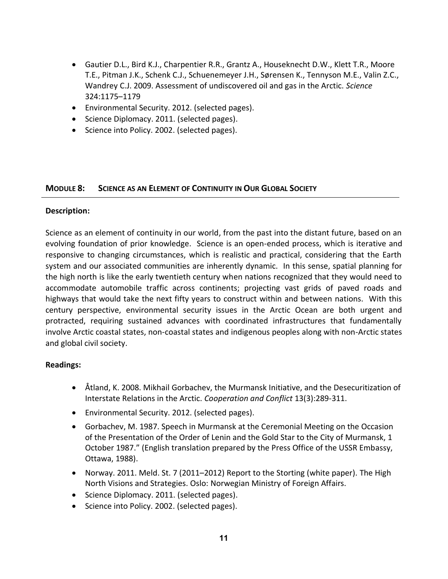- Gautier D.L., Bird K.J., Charpentier R.R., Grantz A., Houseknecht D.W., Klett T.R., Moore T.E., Pitman J.K., Schenk C.J., Schuenemeyer J.H., Sørensen K., Tennyson M.E., Valin Z.C., Wandrey C.J. 2009. Assessment of undiscovered oil and gas in the Arctic. *Science*  324:1175–1179
- Environmental Security. 2012. (selected pages).
- Science Diplomacy. 2011. (selected pages).
- Science into Policy. 2002. (selected pages).

#### **MODULE 8: SCIENCE AS AN ELEMENT OF CONTINUITY IN OUR GLOBAL SOCIETY**

#### **Description:**

Science as an element of continuity in our world, from the past into the distant future, based on an evolving foundation of prior knowledge. Science is an open-ended process, which is iterative and responsive to changing circumstances, which is realistic and practical, considering that the Earth system and our associated communities are inherently dynamic. In this sense, spatial planning for the high north is like the early twentieth century when nations recognized that they would need to accommodate automobile traffic across continents; projecting vast grids of paved roads and highways that would take the next fifty years to construct within and between nations. With this century perspective, environmental security issues in the Arctic Ocean are both urgent and protracted, requiring sustained advances with coordinated infrastructures that fundamentally involve Arctic coastal states, non-coastal states and indigenous peoples along with non-Arctic states and global civil society.

- Åtland, K. 2008. Mikhail Gorbachev, the Murmansk Initiative, and the Desecuritization of Interstate Relations in the Arctic. *Cooperation and Conflict* 13(3):289-311.
- Environmental Security. 2012. (selected pages).
- Gorbachev, M. 1987. Speech in Murmansk at the Ceremonial Meeting on the Occasion of the Presentation of the Order of Lenin and the Gold Star to the City of Murmansk, 1 October 1987." (English translation prepared by the Press Office of the USSR Embassy, Ottawa, 1988).
- Norway. 2011. Meld. St. 7 (2011–2012) Report to the Storting (white paper). The High North Visions and Strategies. Oslo: Norwegian Ministry of Foreign Affairs.
- Science Diplomacy. 2011. (selected pages).
- Science into Policy. 2002. (selected pages).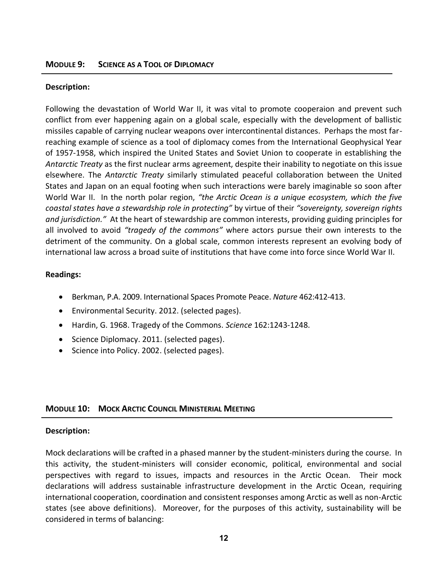#### **Description:**

Following the devastation of World War II, it was vital to promote cooperaion and prevent such conflict from ever happening again on a global scale, especially with the development of ballistic missiles capable of carrying nuclear weapons over intercontinental distances. Perhaps the most farreaching example of science as a tool of diplomacy comes from the International Geophysical Year of 1957-1958, which inspired the United States and Soviet Union to cooperate in establishing the *Antarctic Treaty* as the first nuclear arms agreement, despite their inability to negotiate on this issue elsewhere. The *Antarctic Treaty* similarly stimulated peaceful collaboration between the United States and Japan on an equal footing when such interactions were barely imaginable so soon after World War II. In the north polar region, *"the Arctic Ocean is a unique ecosystem, which the five coastal states have a stewardship role in protecting"* by virtue of their *"sovereignty, sovereign rights and jurisdiction."* At the heart of stewardship are common interests, providing guiding principles for all involved to avoid *"tragedy of the commons"* where actors pursue their own interests to the detriment of the community. On a global scale, common interests represent an evolving body of international law across a broad suite of institutions that have come into force since World War II.

#### **Readings:**

- Berkman, P.A. 2009. International Spaces Promote Peace. *Nature* 462:412-413.
- Environmental Security. 2012. (selected pages).
- Hardin, G. 1968. Tragedy of the Commons. *Science* 162:1243-1248.
- Science Diplomacy. 2011. (selected pages).
- Science into Policy. 2002. (selected pages).

#### **MODULE 10: MOCK ARCTIC COUNCIL MINISTERIAL MEETING**

#### **Description:**

Mock declarations will be crafted in a phased manner by the student-ministers during the course. In this activity, the student-ministers will consider economic, political, environmental and social perspectives with regard to issues, impacts and resources in the Arctic Ocean. Their mock declarations will address sustainable infrastructure development in the Arctic Ocean, requiring international cooperation, coordination and consistent responses among Arctic as well as non-Arctic states (see above definitions). Moreover, for the purposes of this activity, sustainability will be considered in terms of balancing: